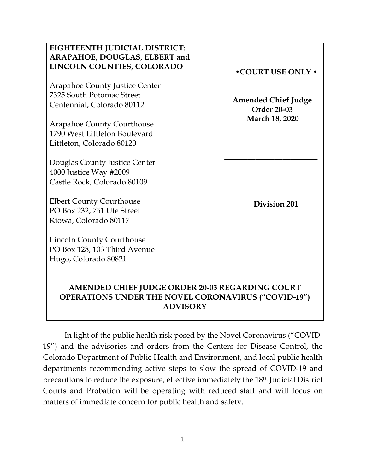| EIGHTEENTH JUDICIAL DISTRICT:                              |                            |
|------------------------------------------------------------|----------------------------|
| ARAPAHOE, DOUGLAS, ELBERT and                              |                            |
| LINCOLN COUNTIES, COLORADO                                 |                            |
|                                                            | <b>. COURT USE ONLY .</b>  |
| <b>Arapahoe County Justice Center</b>                      |                            |
| 7325 South Potomac Street                                  |                            |
|                                                            | <b>Amended Chief Judge</b> |
| Centennial, Colorado 80112                                 | <b>Order 20-03</b>         |
|                                                            | March 18, 2020             |
| <b>Arapahoe County Courthouse</b>                          |                            |
| 1790 West Littleton Boulevard                              |                            |
| Littleton, Colorado 80120                                  |                            |
|                                                            |                            |
| Douglas County Justice Center                              |                            |
| 4000 Justice Way #2009                                     |                            |
| Castle Rock, Colorado 80109                                |                            |
|                                                            |                            |
| <b>Elbert County Courthouse</b>                            |                            |
| PO Box 232, 751 Ute Street                                 | <b>Division 201</b>        |
|                                                            |                            |
| Kiowa, Colorado 80117                                      |                            |
|                                                            |                            |
| <b>Lincoln County Courthouse</b>                           |                            |
| PO Box 128, 103 Third Avenue                               |                            |
| Hugo, Colorado 80821                                       |                            |
|                                                            |                            |
|                                                            |                            |
| AMENDED CHIEF JUDGE ORDER 20-03 REGARDING COURT            |                            |
| <b>OPERATIONS UNDER THE NOVEL CORONAVIRUS ("COVID-19")</b> |                            |

In light of the public health risk posed by the Novel Coronavirus ("COVID-19") and the advisories and orders from the Centers for Disease Control, the Colorado Department of Public Health and Environment, and local public health departments recommending active steps to slow the spread of COVID-19 and precautions to reduce the exposure, effective immediately the 18th Judicial District Courts and Probation will be operating with reduced staff and will focus on matters of immediate concern for public health and safety.

**ADVISORY**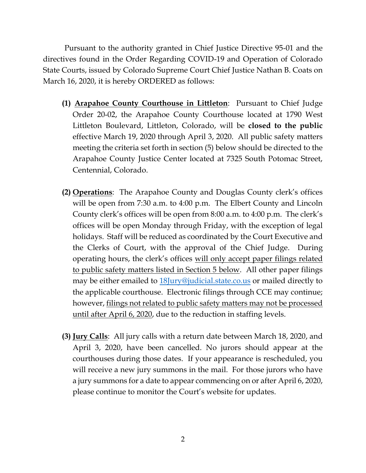Pursuant to the authority granted in Chief Justice Directive 95-01 and the directives found in the Order Regarding COVID-19 and Operation of Colorado State Courts, issued by Colorado Supreme Court Chief Justice Nathan B. Coats on March 16, 2020, it is hereby ORDERED as follows:

- **(1) Arapahoe County Courthouse in Littleton**: Pursuant to Chief Judge Order 20-02, the Arapahoe County Courthouse located at 1790 West Littleton Boulevard, Littleton, Colorado, will be **closed to the public** effective March 19, 2020 through April 3, 2020. All public safety matters meeting the criteria set forth in section (5) below should be directed to the Arapahoe County Justice Center located at 7325 South Potomac Street, Centennial, Colorado.
- **(2) Operations**: The Arapahoe County and Douglas County clerk's offices will be open from 7:30 a.m. to 4:00 p.m. The Elbert County and Lincoln County clerk's offices will be open from 8:00 a.m. to 4:00 p.m. The clerk's offices will be open Monday through Friday, with the exception of legal holidays. Staff will be reduced as coordinated by the Court Executive and the Clerks of Court, with the approval of the Chief Judge. During operating hours, the clerk's offices will only accept paper filings related to public safety matters listed in Section 5 below. All other paper filings may be either emailed to [18Jury@judicial.state.co.us](mailto:18Jury@judicial.state.co.us) or mailed directly to the applicable courthouse. Electronic filings through CCE may continue; however, filings not related to public safety matters may not be processed until after April 6, 2020, due to the reduction in staffing levels.
- **(3) Jury Calls**: All jury calls with a return date between March 18, 2020, and April 3, 2020, have been cancelled. No jurors should appear at the courthouses during those dates. If your appearance is rescheduled, you will receive a new jury summons in the mail. For those jurors who have a jury summons for a date to appear commencing on or after April 6, 2020, please continue to monitor the Court's website for updates.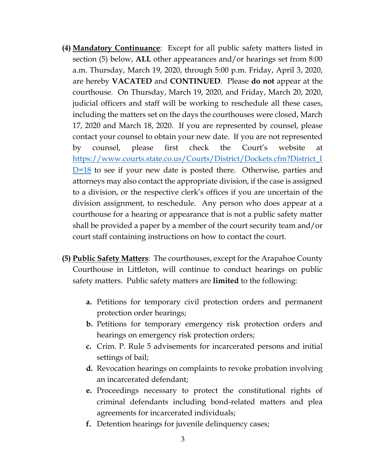- **(4) Mandatory Continuance**: Except for all public safety matters listed in section (5) below, **ALL** other appearances and/or hearings set from 8:00 a.m. Thursday, March 19, 2020, through 5:00 p.m. Friday, April 3, 2020, are hereby **VACATED** and **CONTINUED**. Please **do not** appear at the courthouse. On Thursday, March 19, 2020, and Friday, March 20, 2020, judicial officers and staff will be working to reschedule all these cases, including the matters set on the days the courthouses were closed, March 17, 2020 and March 18, 2020. If you are represented by counsel, please contact your counsel to obtain your new date. If you are not represented by counsel, please first check the Court's website at [https://www.courts.state.co.us/Courts/District/Dockets.cfm?District\\_I](https://www.courts.state.co.us/Courts/District/Dockets.cfm?District_ID=18)  $D=18$  to see if your new date is posted there. Otherwise, parties and attorneys may also contact the appropriate division, if the case is assigned to a division, or the respective clerk's offices if you are uncertain of the division assignment, to reschedule. Any person who does appear at a courthouse for a hearing or appearance that is not a public safety matter shall be provided a paper by a member of the court security team and/or court staff containing instructions on how to contact the court.
- **(5) Public Safety Matters**: The courthouses, except for the Arapahoe County Courthouse in Littleton, will continue to conduct hearings on public safety matters. Public safety matters are **limited** to the following:
	- **a.** Petitions for temporary civil protection orders and permanent protection order hearings;
	- **b.** Petitions for temporary emergency risk protection orders and hearings on emergency risk protection orders;
	- **c.** Crim. P. Rule 5 advisements for incarcerated persons and initial settings of bail;
	- **d.** Revocation hearings on complaints to revoke probation involving an incarcerated defendant;
	- **e.** Proceedings necessary to protect the constitutional rights of criminal defendants including bond-related matters and plea agreements for incarcerated individuals;
	- **f.** Detention hearings for juvenile delinquency cases;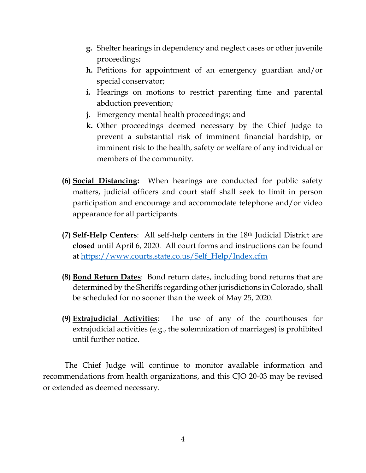- **g.** Shelter hearings in dependency and neglect cases or other juvenile proceedings;
- **h.** Petitions for appointment of an emergency guardian and/or special conservator;
- **i.** Hearings on motions to restrict parenting time and parental abduction prevention;
- **j.** Emergency mental health proceedings; and
- **k.** Other proceedings deemed necessary by the Chief Judge to prevent a substantial risk of imminent financial hardship, or imminent risk to the health, safety or welfare of any individual or members of the community.
- **(6) Social Distancing:** When hearings are conducted for public safety matters, judicial officers and court staff shall seek to limit in person participation and encourage and accommodate telephone and/or video appearance for all participants.
- **(7) Self-Help Centers**: All self-help centers in the 18th Judicial District are **closed** until April 6, 2020. All court forms and instructions can be found at [https://www.courts.state.co.us/Self\\_Help/Index.cfm](https://www.courts.state.co.us/Self_Help/Index.cfm)
- **(8) Bond Return Dates**: Bond return dates, including bond returns that are determined by the Sheriffs regarding other jurisdictions in Colorado, shall be scheduled for no sooner than the week of May 25, 2020.
- **(9) Extrajudicial Activities**: The use of any of the courthouses for extrajudicial activities (e.g., the solemnization of marriages) is prohibited until further notice.

The Chief Judge will continue to monitor available information and recommendations from health organizations, and this CJO 20-03 may be revised or extended as deemed necessary.